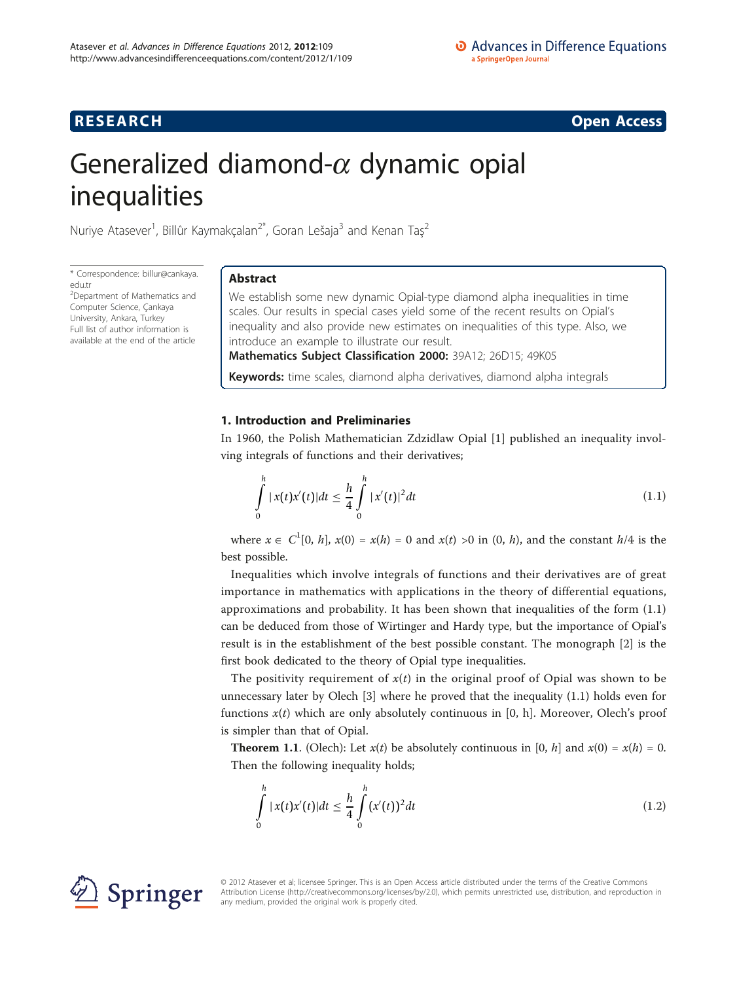# **RESEARCH CONSTRUCTION CONSTRUCTS**

# Generalized diamond- $\alpha$  dynamic opial inequalities

Nuriye Atasever<sup>1</sup>, Billûr Kaymakçalan<sup>2\*</sup>, Goran Lešaja<sup>3</sup> and Kenan Taş<sup>2</sup>

\* Correspondence: [billur@cankaya.](mailto:billur@cankaya.edu.tr) [edu.tr](mailto:billur@cankaya.edu.tr)

<sup>2</sup>Department of Mathematics and Computer Science, Çankaya University, Ankara, Turkey Full list of author information is available at the end of the article

# Abstract

We establish some new dynamic Opial-type diamond alpha inequalities in time scales. Our results in special cases yield some of the recent results on Opial's inequality and also provide new estimates on inequalities of this type. Also, we introduce an example to illustrate our result.

Mathematics Subject Classification 2000: 39A12; 26D15; 49K05

Keywords: time scales, diamond alpha derivatives, diamond alpha integrals

# 1. Introduction and Preliminaries

In 1960, the Polish Mathematician Zdzidlaw Opial [\[1](#page-8-0)] published an inequality involving integrals of functions and their derivatives;

$$
\int_{0}^{h} |x(t)x'(t)|dt \leq \frac{h}{4} \int_{0}^{h} |x'(t)|^{2} dt
$$
\n(1.1)

where  $x \in C^1[0, h]$ ,  $x(0) = x(h) = 0$  and  $x(t) >0$  in  $(0, h)$ , and the constant  $h/4$  is the best possible.

Inequalities which involve integrals of functions and their derivatives are of great importance in mathematics with applications in the theory of differential equations, approximations and probability. It has been shown that inequalities of the form (1.1) can be deduced from those of Wirtinger and Hardy type, but the importance of Opial's result is in the establishment of the best possible constant. The monograph [[2\]](#page-8-0) is the first book dedicated to the theory of Opial type inequalities.

The positivity requirement of  $x(t)$  in the original proof of Opial was shown to be unnecessary later by Olech [\[3\]](#page-8-0) where he proved that the inequality (1.1) holds even for functions  $x(t)$  which are only absolutely continuous in [0, h]. Moreover, Olech's proof is simpler than that of Opial.

**Theorem 1.1.** (Olech): Let  $x(t)$  be absolutely continuous in [0, h] and  $x(0) = x(h) = 0$ . Then the following inequality holds;

$$
\int_{0}^{h} |x(t)x'(t)|dt \leq \frac{h}{4} \int_{0}^{h} (x'(t))^2 dt
$$
\n(1.2)



© 2012 Atasever et al; licensee Springer. This is an Open Access article distributed under the terms of the Creative Commons Attribution License [\(http://creativecommons.org/licenses/by/2.0](http://creativecommons.org/licenses/by/2.0)), which permits unrestricted use, distribution, and reproduction in any medium, provided the original work is properly cited.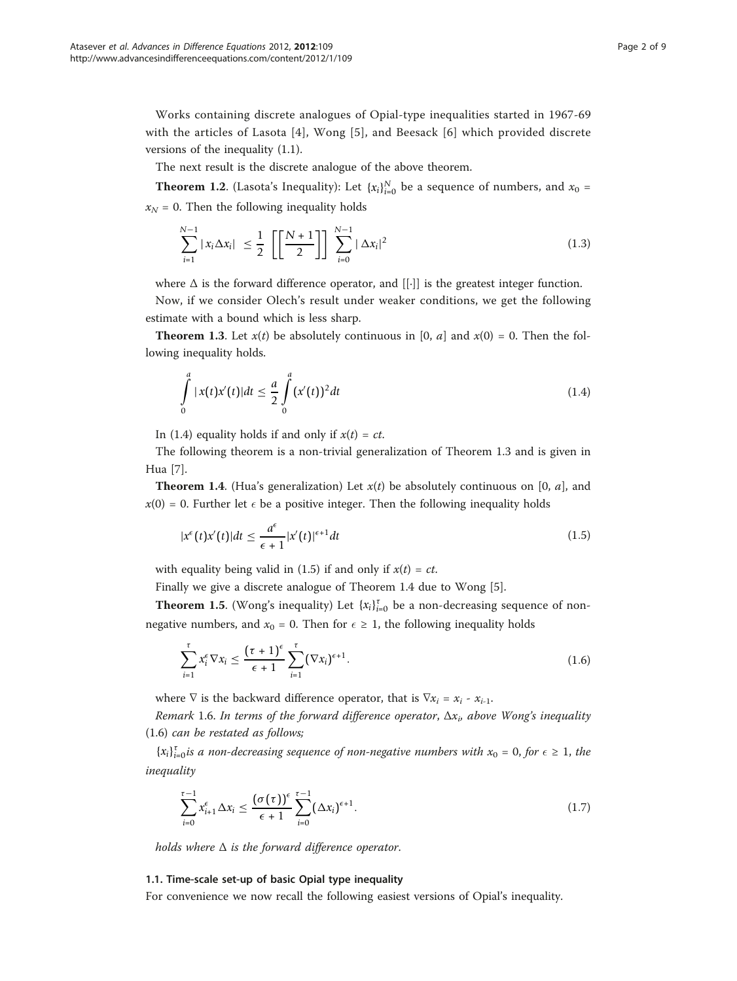Works containing discrete analogues of Opial-type inequalities started in 1967-69 with the articles of Lasota [[4\]](#page-8-0), Wong [[5\]](#page-8-0), and Beesack [[6\]](#page-8-0) which provided discrete versions of the inequality (1.1).

The next result is the discrete analogue of the above theorem.

**Theorem 1.2.** (Lasota's Inequality): Let  $\{x_i\}_{i=0}^N$  be a sequence of numbers, and  $x_0 =$  $x_N = 0$ . Then the following inequality holds

$$
\sum_{i=1}^{N-1} |x_i \Delta x_i| \le \frac{1}{2} \left[ \left[ \frac{N+1}{2} \right] \right] \sum_{i=0}^{N-1} |\Delta x_i|^2 \tag{1.3}
$$

where  $\Delta$  is the forward difference operator, and [[·]] is the greatest integer function.

Now, if we consider Olech's result under weaker conditions, we get the following estimate with a bound which is less sharp.

**Theorem 1.3.** Let  $x(t)$  be absolutely continuous in [0, a] and  $x(0) = 0$ . Then the following inequality holds.

$$
\int_{0}^{a} |x(t)x'(t)|dt \leq \frac{a}{2} \int_{0}^{a} (x'(t))^2 dt
$$
\n(1.4)

In (1.4) equality holds if and only if  $x(t) = ct$ .

The following theorem is a non-trivial generalization of Theorem 1.3 and is given in Hua [\[7](#page-8-0)].

**Theorem 1.4.** (Hua's generalization) Let  $x(t)$  be absolutely continuous on [0, a], and  $x(0)$  = 0. Further let  $\epsilon$  be a positive integer. Then the following inequality holds

$$
|x^{\epsilon}(t)x'(t)|dt \le \frac{a^{\epsilon}}{\epsilon+1}|x'(t)|^{\epsilon+1}dt
$$
\n(1.5)

with equality being valid in (1.5) if and only if  $x(t) = ct$ .

Finally we give a discrete analogue of Theorem 1.4 due to Wong [\[5](#page-8-0)].

**Theorem 1.5.** (Wong's inequality) Let  $\{x_i\}_{i=0}^{\tau}$  be a non-decreasing sequence of nonnegative numbers, and  $x_0 = 0$ . Then for  $\epsilon \geq 1$ , the following inequality holds

$$
\sum_{i=1}^{\tau} x_i^{\epsilon} \nabla x_i \le \frac{(\tau + 1)^{\epsilon}}{\epsilon + 1} \sum_{i=1}^{\tau} (\nabla x_i)^{\epsilon + 1}.
$$
\n(1.6)

where  $\nabla$  is the backward difference operator, that is  $\nabla x_i = x_i - x_{i-1}$ .

Remark 1.6. In terms of the forward difference operator,  $\Delta x_i$ , above Wong's inequality (1.6) can be restated as follows;

 ${x_i}_{i=0}^{\tau}$  *is a non-decreasing sequence of non-negative numbers with*  $x_0 = 0$ , *for*  $\epsilon \ge 1$ , *the* inequality

$$
\sum_{i=0}^{\tau-1} x_{i+1}^{\epsilon} \Delta x_i \leq \frac{(\sigma(\tau))^{\epsilon}}{\epsilon+1} \sum_{i=0}^{\tau-1} (\Delta x_i)^{\epsilon+1}.
$$
\n(1.7)

holds where  $\Delta$  is the forward difference operator.

### 1.1. Time-scale set-up of basic Opial type inequality

For convenience we now recall the following easiest versions of Opial's inequality.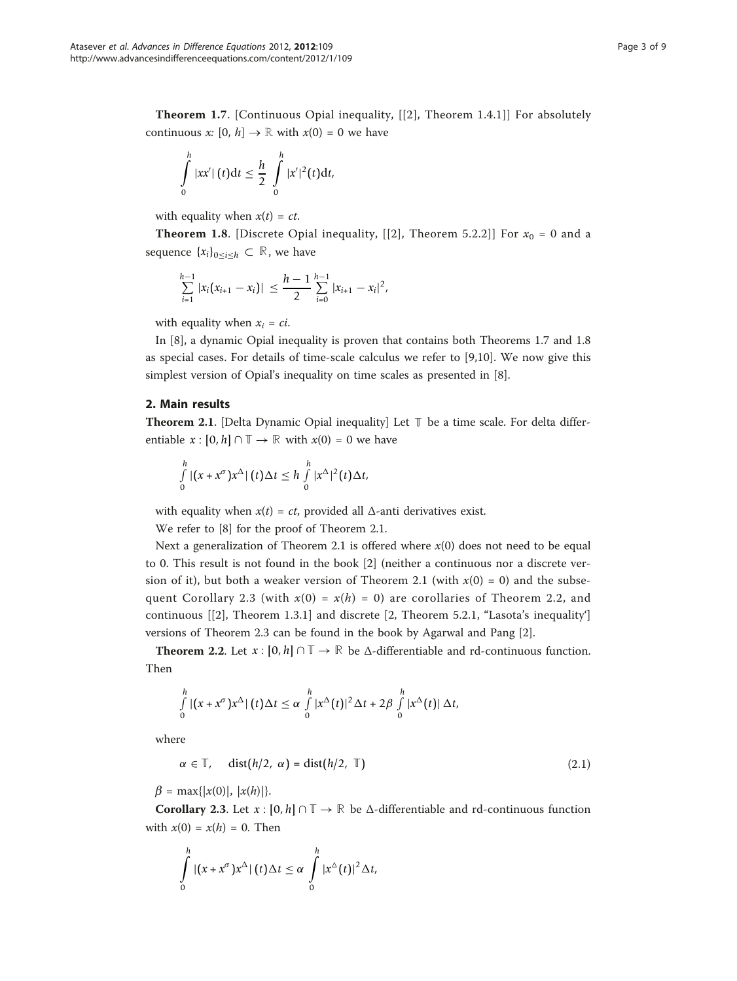Theorem 1.7. [Continuous Opial inequality, [[[2](#page-8-0)], Theorem 1.4.1]] For absolutely continuous x:  $[0, h] \rightarrow \mathbb{R}$  with  $x(0) = 0$  we have

$$
\int\limits_{0}^{h}|xx'|\left(t\right)dt\leq\frac{h}{2}\int\limits_{0}^{h}|x'|^{2}(t)dt,
$$

with equality when  $x(t) = ct$ .

**Theorem 1.8.** [Discrete Opial inequality, [[[2](#page-8-0)], Theorem 5.2.2]] For  $x_0 = 0$  and a sequence  $\{x_i\}_{0 \leq i \leq h} \subset \mathbb{R}$ , we have

$$
\sum_{i=1}^{h-1} |x_i(x_{i+1}-x_i)| \leq \frac{h-1}{2} \sum_{i=0}^{h-1} |x_{i+1}-x_i|^2,
$$

with equality when  $x_i = ci$ .

In [[8\]](#page-8-0), a dynamic Opial inequality is proven that contains both Theorems 1.7 and 1.8 as special cases. For details of time-scale calculus we refer to [[9,10\]](#page-8-0). We now give this simplest version of Opial's inequality on time scales as presented in [\[8](#page-8-0)].

## 2. Main results

Theorem 2.1. [Delta Dynamic Opial inequality] Let **T** be a time scale. For delta differentiable  $x : [0, h] \cap \mathbb{T} \to \mathbb{R}$  with  $x(0) = 0$  we have

$$
\int_{0}^{h} |(x+x^{\sigma})x^{\Delta}| (t)\Delta t \leq h \int_{0}^{h} |x^{\Delta}|^{2}(t)\Delta t,
$$

with equality when  $x(t) = ct$ , provided all  $\Delta$ -anti derivatives exist.

We refer to [[8\]](#page-8-0) for the proof of Theorem 2.1.

Next a generalization of Theorem 2.1 is offered where  $x(0)$  does not need to be equal to 0. This result is not found in the book [[2\]](#page-8-0) (neither a continuous nor a discrete version of it), but both a weaker version of Theorem 2.1 (with  $x(0) = 0$ ) and the subsequent Corollary 2.3 (with  $x(0) = x(h) = 0$ ) are corollaries of Theorem 2.2, and continuous [[\[2](#page-8-0)], Theorem 1.3.1] and discrete [2, Theorem 5.2.1, "Lasota's inequality'] versions of Theorem 2.3 can be found in the book by Agarwal and Pang [[2](#page-8-0)].

**Theorem 2.2.** Let  $x : [0, h] \cap \mathbb{T} \to \mathbb{R}$  be  $\Delta$ -differentiable and rd-continuous function. Then

$$
\int_{0}^{h} |(x+x^{\sigma})x^{\Delta}| (t) \Delta t \leq \alpha \int_{0}^{h} |x^{\Delta}(t)|^{2} \Delta t + 2\beta \int_{0}^{h} |x^{\Delta}(t)| \Delta t,
$$

where

$$
\alpha \in \mathbb{T}, \quad \text{dist}(h/2, \, \alpha) = \text{dist}(h/2, \, \mathbb{T}) \tag{2.1}
$$

 $\beta = \max\{|x(0)|, |x(h)|\}.$ 

**Corollary 2.3.** Let  $x : [0, h] \cap \mathbb{T} \to \mathbb{R}$  be  $\Delta$ -differentiable and rd-continuous function with  $x(0) = x(h) = 0$ . Then

$$
\int_{0}^{h} |(x+x^{\sigma})x^{\Delta}|(t)\Delta t \leq \alpha \int_{0}^{h} |x^{\Delta}(t)|^{2} \Delta t,
$$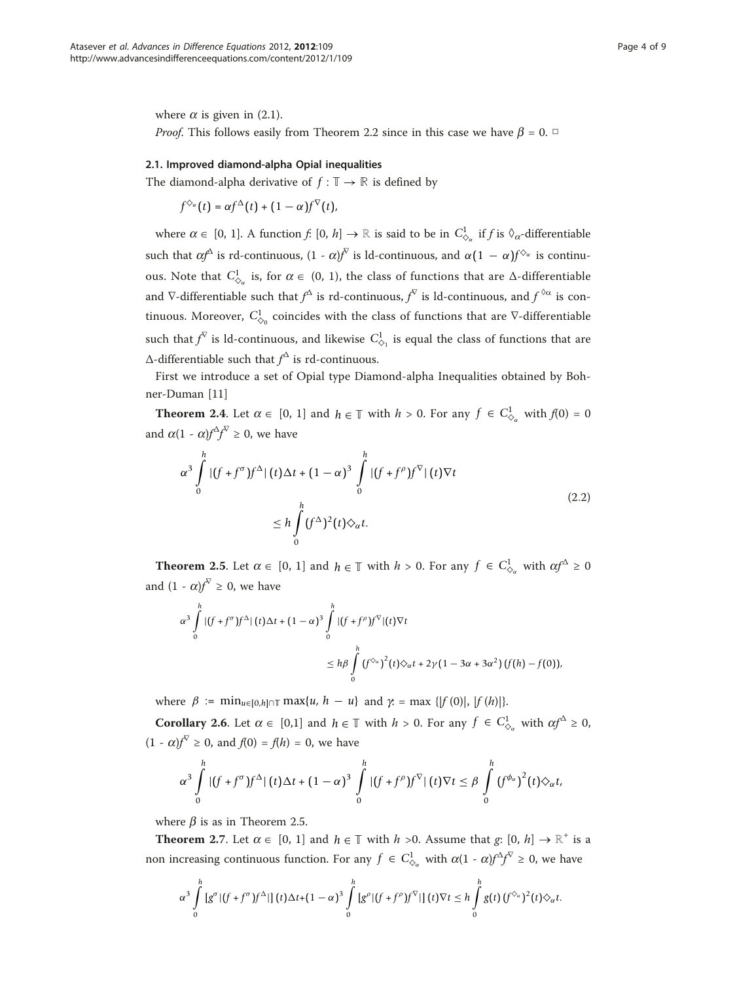where  $\alpha$  is given in (2.1). *Proof.* This follows easily from Theorem 2.2 since in this case we have  $\beta = 0$ .  $\Box$ 

### 2.1. Improved diamond-alpha Opial inequalities

The diamond-alpha derivative of  $f : \mathbb{T} \to \mathbb{R}$  is defined by

$$
f^{\diamondsuit_{\alpha}}(t) = \alpha f^{\Delta}(t) + (1 - \alpha) f^{\nabla}(t),
$$

where  $\alpha \in [0, 1]$ . A function  $f: [0, h] \to \mathbb{R}$  is said to be in  $C^1_{\alpha_\alpha}$  if  $f$  is  $\Diamond_\alpha$ -differentiable such that  $\alpha f^{\Delta}$  is rd-continuous,  $(1 - \alpha)f^{\overline{\wedge}}$  is ld-continuous, and  $\alpha(1 - \alpha)f^{\hat{\wedge}}$  is continuous. Note that  $C^1_{\diamond_\alpha}$  is, for  $\alpha \in (0, 1)$ , the class of functions that are  $\triangle$ -differentiable and  $\nabla$ -differentiable such that  $f^\Delta$  is rd-continuous,  $f^\nabla$  is ld-continuous, and  $f^{\,\Diamond\alpha}$  is continuous. Moreover,  $C^1_{\diamondsuit_0}$  coincides with the class of functions that are  $\nabla$ -differentiable such that  $f^{\nabla}$  is  $Id$ -continuous, and likewise  $C^1_{\diamondsuit_1}$  is equal the class of functions that are  $\Delta$ -differentiable such that  $f^{\Delta}$  is rd-continuous.

First we introduce a set of Opial type Diamond-alpha Inequalities obtained by Bohner-Duman [\[11](#page-8-0)]

**Theorem 2.4.** Let  $\alpha \in [0, 1]$  and  $h \in \mathbb{T}$  with  $h > 0$ . For any  $f \in C^1_{\diamond_\alpha}$  with  $f(0) = 0$ and  $\alpha(1 - \alpha) f^{\Delta} f^{\nabla} \ge 0$ , we have

$$
\alpha^3 \int_0^h |(f+f^{\sigma})f^{\Delta}| (t) \Delta t + (1-\alpha)^3 \int_0^h |(f+f^{\rho})f^{\nabla}| (t) \nabla t
$$
  

$$
\leq h \int_0^h (f^{\Delta})^2 (t) \diamondsuit_{\alpha} t.
$$
 (2.2)

**Theorem 2.5.** Let  $\alpha \in [0, 1]$  and  $h \in \mathbb{T}$  with  $h > 0$ . For any  $f \in C^1_{\diamond_\alpha}$  with  $\alpha f^\Delta \ge 0$ and  $(1 - \alpha)f^{\nabla} \geq 0$ , we have

$$
\alpha^3 \int_0^h |(f+f^{\sigma})f^{\Delta}|(t)\Delta t + (1-\alpha)^3 \int_0^h |(f+f^{\rho})f^{\nabla}|(t)\nabla t
$$
  

$$
\leq h\beta \int_0^h (f^{\diamondsuit_{\alpha}})^2(t)\diamond_{\alpha} t + 2\gamma(1-3\alpha+3\alpha^2)(f(h)-f(0)),
$$

where  $\beta := \min_{u \in [0, h] \cap \mathbb{T}} \max\{u, h - u\}$  and  $\gamma = \max\{|f(0)|, |f(h)|\}.$ 

**Corollary 2.6.** Let  $\alpha \in [0,1]$  and  $h \in \mathbb{T}$  with  $h > 0$ . For any  $f \in C^1_{\Diamond_\alpha}$  with  $\alpha f^\Delta \ge 0$ ,  $(1 - \alpha) f^{\nabla} \ge 0$ , and  $f(0) = f(h) = 0$ , we have

$$
\alpha^3 \int_0^h |(f+f^{\sigma})f^{\Delta}|(t)\Delta t + (1-\alpha)^3 \int_0^h |(f+f^{\rho})f^{\nabla}|(t)\nabla t \leq \beta \int_0^h (f^{\phi_{\alpha}})^2(t)\diamondsuit_{\alpha} t,
$$

where  $\beta$  is as in Theorem 2.5.

**Theorem 2.7.** Let  $\alpha \in [0, 1]$  and  $h \in \mathbb{T}$  with  $h > 0$ . Assume that g:  $[0, h] \to \mathbb{R}^+$  is a non increasing continuous function. For any  $f \in C_{\diamondsuit_\alpha}^1$  with  $\alpha(1 - \alpha)f^{\triangleleft}f^{\triangledown} \ge 0$ , we have

$$
\alpha^3 \int\limits_0^h \left[g^{\sigma} |(f+f^{\sigma})f^{\Delta}| \right] (t) \Delta t + (1-\alpha)^3 \int\limits_0^h \left[g^{\rho} |(f+f^{\rho})f^{\nabla}| \right] (t) \nabla t \leq h \int\limits_0^h g(t) \left(f^{\diamondsuit_{\alpha}}\right)^2 (t) \diamondsuit_{\alpha} t.
$$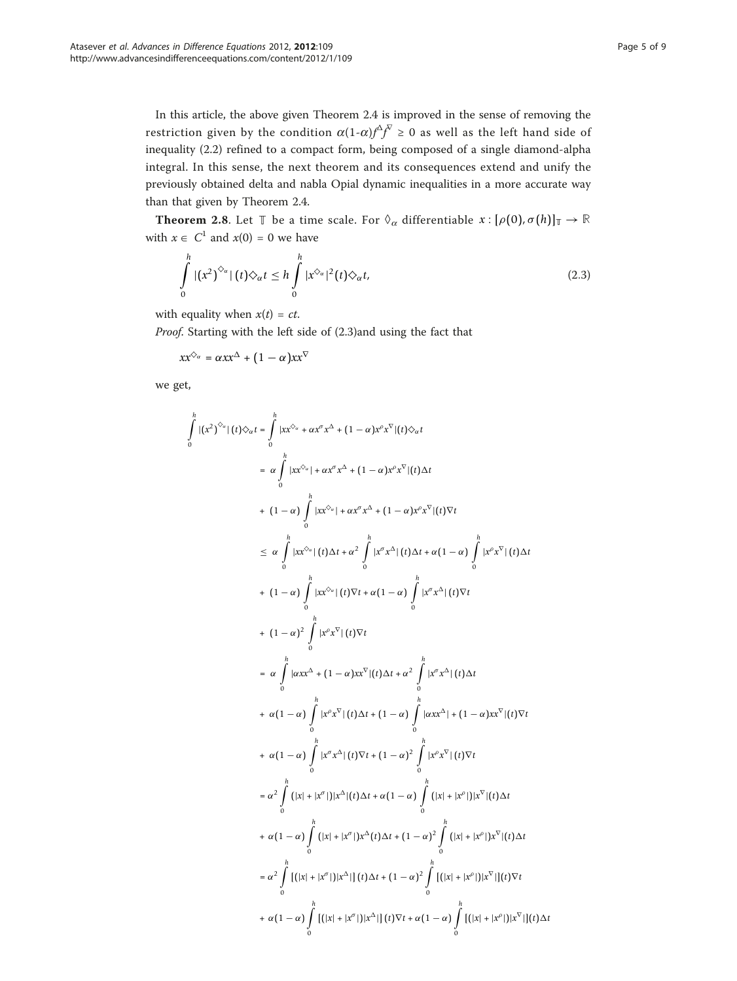In this article, the above given Theorem 2.4 is improved in the sense of removing the restriction given by the condition  $\alpha(1-\alpha)f^{\Delta}f^{\Gamma} \ge 0$  as well as the left hand side of inequality (2.2) refined to a compact form, being composed of a single diamond-alpha integral. In this sense, the next theorem and its consequences extend and unify the previously obtained delta and nabla Opial dynamic inequalities in a more accurate way than that given by Theorem 2.4.

**Theorem 2.8.** Let  $\mathbb{T}$  be a time scale. For  $\Diamond_{\alpha}$  differentiable  $x : [\rho(0), \sigma(h)]_{\mathbb{T}} \to \mathbb{R}$ with  $x \in C^1$  and  $x(0) = 0$  we have

$$
\int_{0}^{h} |(x^{2})^{\diamondsuit_{\alpha}}| (t) \diamondsuit_{\alpha} t \leq h \int_{0}^{h} |x^{\diamondsuit_{\alpha}}|^{2} (t) \diamondsuit_{\alpha} t,
$$
\n(2.3)

with equality when  $x(t) = ct$ .

Proof. Starting with the left side of (2.3)and using the fact that

$$
xx^{\diamondsuit_{\alpha}} = \alpha xx^{\triangle} + (1 - \alpha)xx^{\nabla}
$$

we get,

-*h*

0

$$
|(x^{2})^{\diamond_{\alpha}}|(t)\diamond_{\alpha}t = \int_{0}^{h} |x x^{\diamond_{\alpha}} + \alpha x^{\alpha} x^{\triangle} + (1 - \alpha) x^{\alpha} x^{\nabla} |(t)\diamond_{\alpha}t
$$
\n
$$
= \alpha \int_{0}^{h} |x x^{\diamond_{\alpha}}| + \alpha x^{\alpha} x^{\triangle} + (1 - \alpha) x^{\alpha} x^{\nabla} |(t)\Delta t
$$
\n
$$
+ (1 - \alpha) \int_{0}^{h} |x x^{\diamond_{\alpha}}| + \alpha x^{\alpha} x^{\triangle} + (1 - \alpha) x^{\alpha} x^{\nabla} |(t)\nabla t
$$
\n
$$
\leq \alpha \int_{0}^{h} |x x^{\diamond_{\alpha}}| (t)\Delta t + \alpha^{2} \int_{0}^{h} |x^{\alpha} x^{\triangle}| (t)\Delta t + \alpha (1 - \alpha) \int_{0}^{h} |x^{\alpha} x^{\nabla} |(t)\Delta t
$$
\n
$$
+ (1 - \alpha) \int_{0}^{h} |x^{\diamond_{\alpha}}| (t)\nabla t + \alpha (1 - \alpha) \int_{0}^{h} |x^{\alpha} x^{\triangle}| (t)\nabla t
$$
\n
$$
+ (1 - \alpha)^{2} \int_{0}^{h} |x^{\diamond_{\alpha}}| (t)\nabla t
$$
\n
$$
= \alpha \int_{0}^{h} |x^{\alpha} x^{\nabla} |(t)\nabla t
$$
\n
$$
= \alpha \int_{0}^{h} |x^{\alpha} x^{\triangle}| (t)\Delta t + (1 - \alpha) x^{\nabla} |(t)\Delta t + \alpha^{2} \int_{0}^{h} |x^{\alpha} x^{\triangle}| (t)\Delta t
$$
\n
$$
+ \alpha (1 - \alpha) \int_{0}^{h} |x^{\alpha} x^{\triangledown}| (t)\Delta t + (1 - \alpha) \int_{0}^{h} |x^{\alpha} x^{\triangle}| + (1 - \alpha) x^{\triangledown} |(t)\nabla t
$$
\n
$$
+ \alpha (1 - \alpha) \int_{0}^{h} |x^{\alpha} x^{\triangle}| (t)\nabla t + (1 - \alpha) \int_{0}^{h} |x^{\alpha} x^{\triangle}| (t)\nabla t
$$
\n<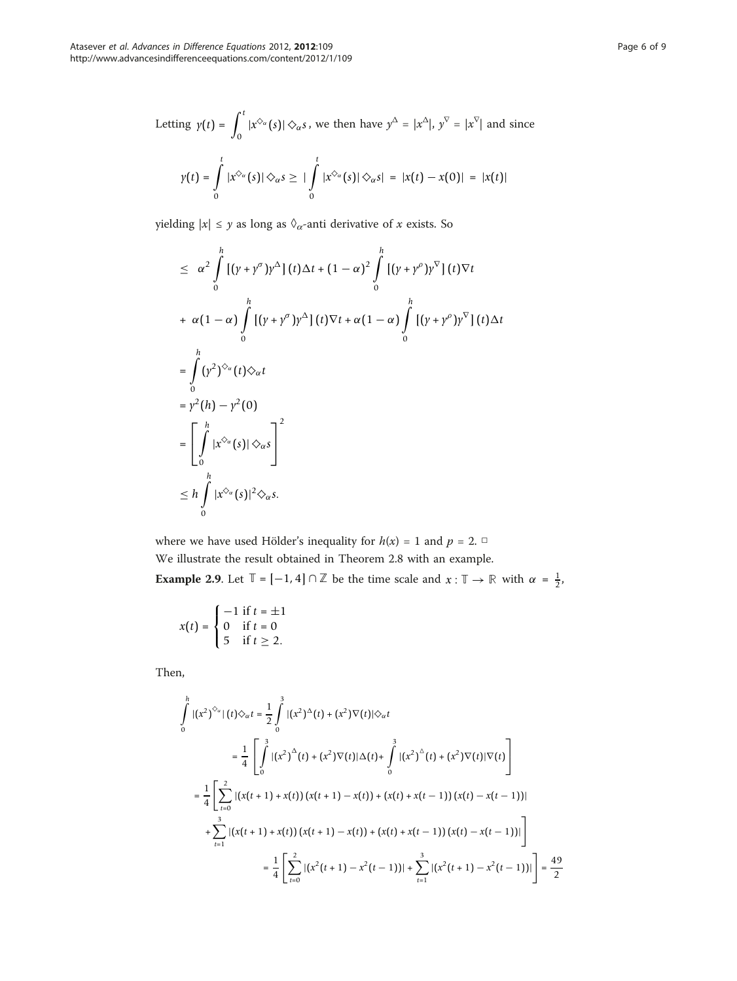Letting 
$$
\gamma(t) = \int_0^t |x^{\diamond_\alpha}(s)| \diamond_\alpha s
$$
, we then have  $y^\triangle = |x^\triangle|$ ,  $y^\nabla = |x^\nabla|$  and since  

$$
\gamma(t) = \int_0^t |x^{\diamond_\alpha}(s)| \diamond_\alpha s \ge |\int_0^t |x^{\diamond_\alpha}(s)| \diamond_\alpha s| = |x(t) - x(0)| = |x(t)|
$$

yielding  $|x| \leq y$  as long as  $\Diamond_{\alpha}$  -anti derivative of  $x$  exists. So

$$
\leq \alpha^2 \int_0^h \left[ (\gamma + \gamma^{\sigma}) \gamma^{\Delta} \right] (t) \Delta t + (1 - \alpha)^2 \int_0^h \left[ (\gamma + \gamma^{\rho}) \gamma^{\nabla} \right] (t) \nabla t
$$
  
+  $\alpha (1 - \alpha) \int_0^h \left[ (\gamma + \gamma^{\sigma}) \gamma^{\Delta} \right] (t) \nabla t + \alpha (1 - \alpha) \int_0^h \left[ (\gamma + \gamma^{\rho}) \gamma^{\nabla} \right] (t) \Delta t$   
=  $\int_0^h (\gamma^2)^{\diamond_\alpha} (t) \diamond_\alpha t$   
=  $\gamma^2 (h) - \gamma^2 (0)$   
=  $\left[ \int_0^h |x^{\diamond_\alpha} (s)| \diamond_\alpha s \right]^2$   
 $\leq h \int_0^h |x^{\diamond_\alpha} (s)|^2 \diamond_\alpha s.$ 

where we have used Hölder's inequality for  $h(x) = 1$  and  $p = 2$ . We illustrate the result obtained in Theorem 2.8 with an example.

**Example 2.9.** Let  $\mathbb{T} = [-1, 4] \cap \mathbb{Z}$  be the time scale and  $x : \mathbb{T} \to \mathbb{R}$  with  $\alpha = \frac{1}{2}$ ,

$$
x(t) = \begin{cases} -1 & \text{if } t = \pm 1 \\ 0 & \text{if } t = 0 \\ 5 & \text{if } t \ge 2. \end{cases}
$$

Then,

$$
\int_{0}^{h} |(x^{2})^{\diamond}{}_{a}|(t)\diamondsuit_{\alpha}t = \frac{1}{2} \int_{0}^{3} |(x^{2})^{\triangle}(t) + (x^{2})\nabla(t)|\diamondsuit_{\alpha}t
$$
\n
$$
= \frac{1}{4} \left[ \int_{0}^{3} |(x^{2})^{\triangle}(t) + (x^{2})\nabla(t)|\triangle(t) + \int_{0}^{3} |(x^{2})^{\triangle}(t) + (x^{2})\nabla(t)|\nabla(t) \right]
$$
\n
$$
= \frac{1}{4} \left[ \sum_{t=0}^{2} |(x(t+1) + x(t)) (x(t+1) - x(t)) + (x(t) + x(t-1)) (x(t) - x(t-1))| + \sum_{t=1}^{3} |(x(t+1) + x(t)) (x(t+1) - x(t)) + (x(t) + x(t-1)) (x(t) - x(t-1))| \right]
$$
\n
$$
= \frac{1}{4} \left[ \sum_{t=0}^{2} |(x^{2}(t+1) - x^{2}(t-1))| + \sum_{t=1}^{3} |(x^{2}(t+1) - x^{2}(t-1))| \right] = \frac{49}{2}
$$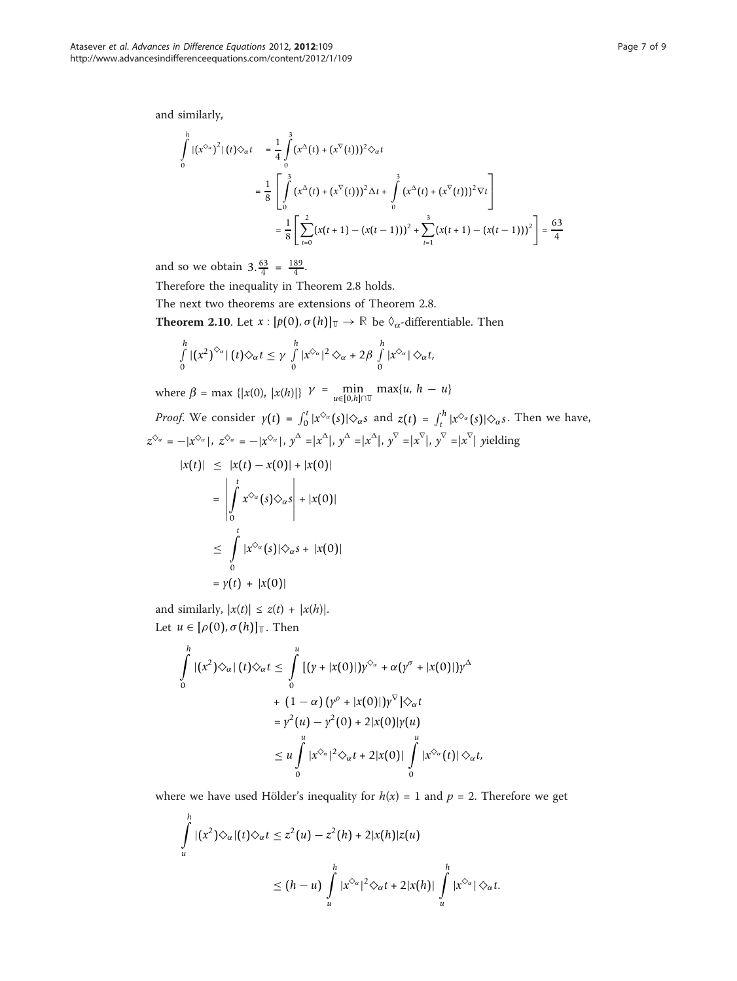and similarly,

$$
\int_{0}^{h} |(x^{\diamondsuit_{\alpha}})^{2}|(t)\diamondsuit_{\alpha}t = \frac{1}{4} \int_{0}^{3} (x^{\triangle}(t) + (x^{\nabla}(t)))^{2} \diamondsuit_{\alpha}t
$$
\n
$$
= \frac{1}{8} \left[ \int_{0}^{3} (x^{\triangle}(t) + (x^{\nabla}(t)))^{2} \triangle t + \int_{0}^{3} (x^{\triangle}(t) + (x^{\nabla}(t)))^{2} \nabla t \right]
$$
\n
$$
= \frac{1}{8} \left[ \sum_{t=0}^{2} (x(t+1) - (x(t-1)))^{2} + \sum_{t=1}^{3} (x(t+1) - (x(t-1)))^{2} \right] = \frac{63}{4}
$$

and so we obtain  $3.\frac{63}{4} = \frac{189}{4}$ .

Therefore the inequality in Theorem 2.8 holds.

The next two theorems are extensions of Theorem 2.8.

**Theorem 2.10.** Let  $x : [p(0), \sigma(h)]$ **T**  $\rightarrow \mathbb{R}$  be  $\Diamond_{\alpha}$ -differentiable. Then

$$
\int_{0}^{h} |(x^{2})^{\diamondsuit_{\alpha}}| (t) \diamondsuit_{\alpha} t \leq \gamma \int_{0}^{h} |x^{\diamondsuit_{\alpha}}|^{2} \diamondsuit_{\alpha} + 2\beta \int_{0}^{h} |x^{\diamondsuit_{\alpha}}| \diamondsuit_{\alpha} t,
$$

where  $\beta = \max \{ |x(0), |x(h)| \}$   $\gamma = \min_{u \in [0, h] \cap \mathbb{T}} \max\{u, h - u\}$ 

*Proof.* We consider  $y(t) = \int_0^t |x^{\Diamond a}(s)| \Diamond_{\alpha} s$  and  $z(t) = \int_t^h |x^{\Diamond a}(s)| \Diamond_{\alpha} s$ . Then we have,  $z^{\diamond_\alpha} = -|x^{\diamond_\alpha}|$ ,  $z^{\diamond_\alpha} = -|x^{\diamond_\alpha}|$ ,  $y^\Delta = |x^\Delta|$ ,  $y^\Delta = |x^\Delta|$ ,  $y^\nabla = |x^\nabla|$ ,  $y^\nabla = |x^\nabla|$  yielding

$$
|x(t)| \le |x(t) - x(0)| + |x(0)|
$$
  
\n
$$
= \left| \int_0^t x^{\Diamond_{\alpha}}(s) \Diamond_{\alpha} s \right| + |x(0)|
$$
  
\n
$$
\le \int_0^t |x^{\Diamond_{\alpha}}(s)| \Diamond_{\alpha} s + |x(0)|
$$
  
\n
$$
= \gamma(t) + |x(0)|
$$

and similarly,  $|x(t)| \le z(t) + |x(h)|$ . Let  $u \in [\rho(0), \sigma(h)]$ <sub>T</sub>. Then

*h*

$$
\int_{0}^{h} |(x^{2})\diamondsuit_{\alpha}|(t)\diamondsuit_{\alpha}t \leq \int_{0}^{u} [(y+|x(0)|)y^{\diamondsuit_{\alpha}} + \alpha(y^{\sigma}+|x(0)|)y^{\Delta}
$$
  
+  $(1-\alpha)(y^{\rho}+|x(0)|)y^{\nabla}]\diamondsuit_{\alpha}t$   
=  $y^{2}(u) - y^{2}(0) + 2|x(0)|y(u)$   
 $\leq u \int_{0}^{u} |x^{\diamondsuit_{\alpha}}|^{2}\diamondsuit_{\alpha}t + 2|x(0)| \int_{0}^{u} |x^{\diamondsuit_{\alpha}}(t)|\diamondsuit_{\alpha}t,$ 

where we have used Hölder's inequality for  $h(x) = 1$  and  $p = 2$ . Therefore we get

$$
\int_{u}^{h} |(x^2)\diamondsuit_{\alpha}|(t)\diamondsuit_{\alpha}t \leq z^2(u) - z^2(h) + 2|x(h)|z(u)
$$
\n
$$
\leq (h-u)\int_{u}^{h} |x^{\diamondsuit_{\alpha}}|^2 \diamondsuit_{\alpha}t + 2|x(h)|\int_{u}^{h} |x^{\diamondsuit_{\alpha}}|\diamondsuit_{\alpha}t.
$$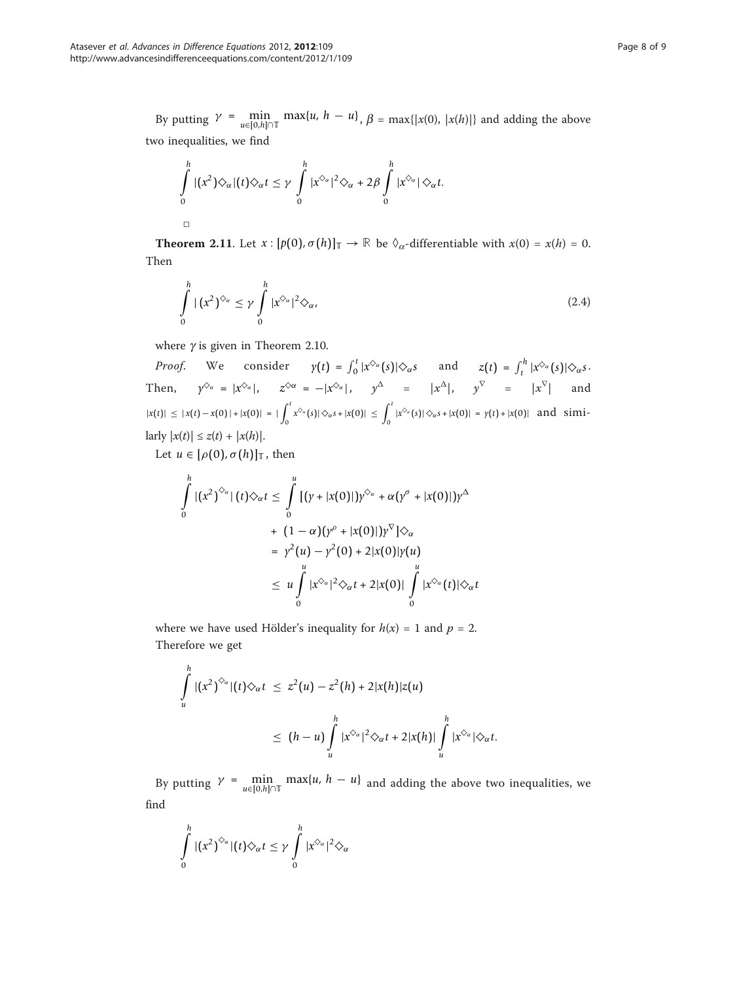By putting  $\gamma = \min_{u \in [0, h] \cap \mathbb{T}} \max\{u, h - u\}$ ,  $\beta = \max\{|x(0), |x(h)|\}$  and adding the above two inequalities, we find

$$
\int_{0}^{h} |(x^{2})\Diamond_{\alpha}|(t)\Diamond_{\alpha}t \leq \gamma \int_{0}^{h} |x^{\Diamond_{\alpha}}|^{2}\Diamond_{\alpha} + 2\beta \int_{0}^{h} |x^{\Diamond_{\alpha}}|\Diamond_{\alpha}t.
$$

**Theorem 2.11.** Let  $x : [p(0), \sigma(h)]$ **T**  $\rightarrow \mathbb{R}$  be  $\Diamond_{\alpha}$ -differentiable with  $x(0) = x(h) = 0$ . Then

$$
\int_{0}^{h} |(x^{2})^{\Diamond_{\alpha}} \leq \gamma \int_{0}^{h} |x^{\Diamond_{\alpha}}|^{2} \Diamond_{\alpha}, \tag{2.4}
$$

where  $\gamma$  is given in Theorem 2.10.

*Proof.* We consider  $\gamma(t) = \int_0^t |x^{\delta_\alpha}(s)| \hat{\diamond}_\alpha s$  and  $z(t) = \int_t^h |x^{\delta_\alpha}(s)| \hat{\diamond}_\alpha s$ . Then,  $\gamma^{\diamond_\alpha} = |x^{\diamond_\alpha}|$ ,  $z^{\diamond \alpha} = -|x^{\diamond_\alpha}|$ ,  $\gamma^\triangle$  =  $|x^\triangle|$ ,  $\gamma^\triangledown$  =  $|x^\triangledown|$  and  $|x(t)| \leq |x(t) - x(0)| + |x(0)| = |\int_{0}^{t}$  $\int_0^t x^{\diamond_{\alpha}}(s) |\diamond_{\alpha} s + |x(0)| \leq \int_0^t$  $\int_{0}^{\infty} |x^{\diamondsuit_{\alpha}}(s)| \diamond_{\alpha} s + |x(0)| = \gamma(t) + |x(0)|$  and simi- $\text{larly } |x(t)| \leq z(t) + |x(h)|.$ 

Let  $u \in [\rho(0), \sigma(h)]$ <sub>T</sub>, then

$$
\int_{0}^{h} |(x^{2})^{\diamondsuit_{\alpha}}| (t) \diamondsuit_{\alpha} t \leq \int_{0}^{u} [(y + |x(0)|) y^{\diamondsuit_{\alpha}} + \alpha (y^{\sigma} + |x(0)|) y^{\triangle} \n+ (1 - \alpha) (y^{\rho} + |x(0)|) y^{\nabla}] \diamondsuit_{\alpha} \n= y^{2} (u) - y^{2} (0) + 2 |x(0)| y(u) \n\leq u \int_{0}^{u} |x^{\diamondsuit_{\alpha}}|^{2} \diamondsuit_{\alpha} t + 2 |x(0)| \int_{0}^{u} |x^{\diamondsuit_{\alpha}}(t)| \diamondsuit_{\alpha} t
$$

where we have used Hölder's inequality for  $h(x) = 1$  and  $p = 2$ . Therefore we get

$$
\int_{u}^{h} |(x^2)^{\diamondsuit_{\alpha}}|(t)\diamondsuit_{\alpha}t \leq z^2(u) - z^2(h) + 2|x(h)|z(u)
$$
\n
$$
\leq (h-u)\int_{u}^{h} |x^{\diamondsuit_{\alpha}}|^2 \diamondsuit_{\alpha}t + 2|x(h)|\int_{u}^{h} |x^{\diamondsuit_{\alpha}}|\diamondsuit_{\alpha}t.
$$

By putting  $\gamma = \min_{u \in [0, h] \cap \mathbb{T}} \max\{u, h - u\}$  and adding the above two inequalities, we find

$$
\int_{0}^{h} |(x^{2})^{\diamondsuit_{\alpha}}|(t)\diamondsuit_{\alpha} t \leq \gamma \int_{0}^{h} |x^{\diamondsuit_{\alpha}}|^{2} \diamondsuit_{\alpha}
$$